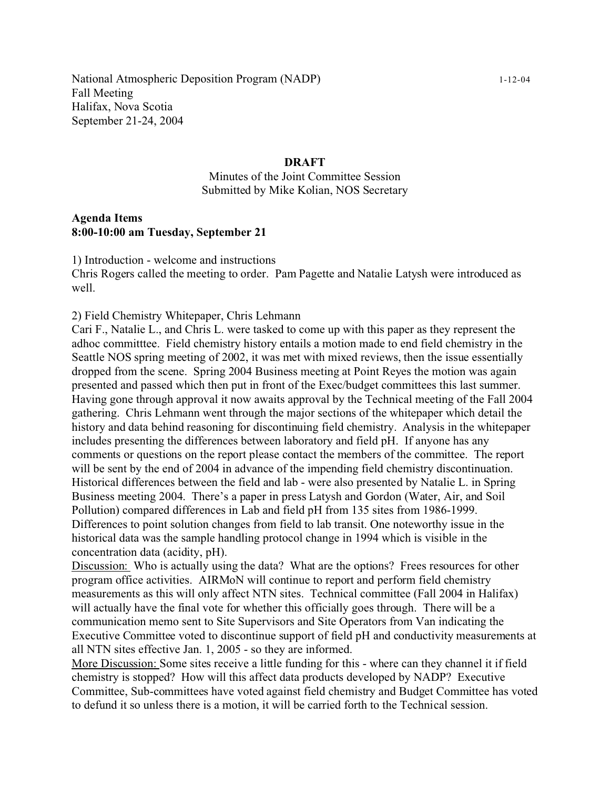#### **DRAFT**

Minutes of the Joint Committee Session Submitted by Mike Kolian, NOS Secretary

#### **Agenda Items 8:00-10:00 am Tuesday, September 21**

1) Introduction - welcome and instructions Chris Rogers called the meeting to order. Pam Pagette and Natalie Latysh were introduced as well.

2) Field Chemistry Whitepaper, Chris Lehmann

Cari F., Natalie L., and Chris L. were tasked to come up with this paper as they represent the adhoc committtee. Field chemistry history entails a motion made to end field chemistry in the Seattle NOS spring meeting of 2002, it was met with mixed reviews, then the issue essentially dropped from the scene. Spring 2004 Business meeting at Point Reyes the motion was again presented and passed which then put in front of the Exec/budget committees this last summer. Having gone through approval it now awaits approval by the Technical meeting of the Fall 2004 gathering. Chris Lehmann went through the major sections of the whitepaper which detail the history and data behind reasoning for discontinuing field chemistry. Analysis in the whitepaper includes presenting the differences between laboratory and field pH. If anyone has any comments or questions on the report please contact the members of the committee. The report will be sent by the end of 2004 in advance of the impending field chemistry discontinuation. Historical differences between the field and lab - were also presented by Natalie L. in Spring Business meeting 2004. There's a paper in press Latysh and Gordon (Water, Air, and Soil Pollution) compared differences in Lab and field pH from 135 sites from 1986-1999. Differences to point solution changes from field to lab transit. One noteworthy issue in the historical data was the sample handling protocol change in 1994 which is visible in the concentration data (acidity, pH).

Discussion: Who is actually using the data? What are the options? Frees resources for other program office activities. AIRMoN will continue to report and perform field chemistry measurements as this will only affect NTN sites. Technical committee (Fall 2004 in Halifax) will actually have the final vote for whether this officially goes through. There will be a communication memo sent to Site Supervisors and Site Operators from Van indicating the Executive Committee voted to discontinue support of field pH and conductivity measurements at all NTN sites effective Jan. 1, 2005 - so they are informed.

More Discussion: Some sites receive a little funding for this - where can they channel it if field chemistry is stopped? How will this affect data products developed by NADP? Executive Committee, Sub-committees have voted against field chemistry and Budget Committee has voted to defund it so unless there is a motion, it will be carried forth to the Technical session.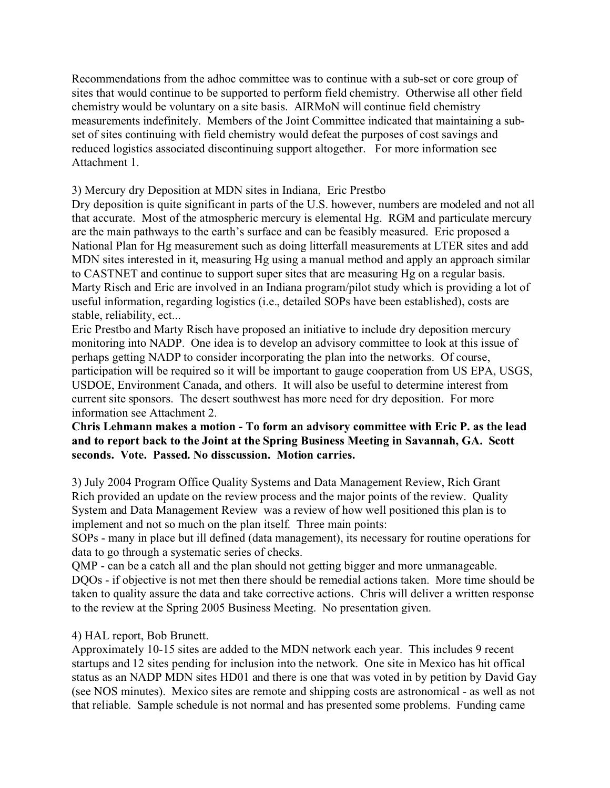Recommendations from the adhoc committee was to continue with a sub-set or core group of sites that would continue to be supported to perform field chemistry. Otherwise all other field chemistry would be voluntary on a site basis. AIRMoN will continue field chemistry measurements indefinitely. Members of the Joint Committee indicated that maintaining a subset of sites continuing with field chemistry would defeat the purposes of cost savings and reduced logistics associated discontinuing support altogether. For more information see Attachment 1.

3) Mercury dry Deposition at MDN sites in Indiana, Eric Prestbo

Dry deposition is quite significant in parts of the U.S. however, numbers are modeled and not all that accurate. Most of the atmospheric mercury is elemental Hg. RGM and particulate mercury are the main pathways to the earth's surface and can be feasibly measured. Eric proposed a National Plan for Hg measurement such as doing litterfall measurements at LTER sites and add MDN sites interested in it, measuring Hg using a manual method and apply an approach similar to CASTNET and continue to support super sites that are measuring Hg on a regular basis. Marty Risch and Eric are involved in an Indiana program/pilot study which is providing a lot of useful information, regarding logistics (i.e., detailed SOPs have been established), costs are stable, reliability, ect...

Eric Prestbo and Marty Risch have proposed an initiative to include dry deposition mercury monitoring into NADP. One idea is to develop an advisory committee to look at this issue of perhaps getting NADP to consider incorporating the plan into the networks. Of course, participation will be required so it will be important to gauge cooperation from US EPA, USGS, USDOE, Environment Canada, and others. It will also be useful to determine interest from current site sponsors. The desert southwest has more need for dry deposition. For more information see Attachment 2.

# **Chris Lehmann makes a motion - To form an advisory committee with Eric P. as the lead and to report back to the Joint at the Spring Business Meeting in Savannah, GA. Scott seconds. Vote. Passed. No disscussion. Motion carries.**

3) July 2004 Program Office Quality Systems and Data Management Review, Rich Grant Rich provided an update on the review process and the major points of the review. Quality System and Data Management Review was a review of how well positioned this plan is to implement and not so much on the plan itself. Three main points:

SOPs - many in place but ill defined (data management), its necessary for routine operations for data to go through a systematic series of checks.

QMP - can be a catch all and the plan should not getting bigger and more unmanageable. DQOs - if objective is not met then there should be remedial actions taken. More time should be taken to quality assure the data and take corrective actions. Chris will deliver a written response to the review at the Spring 2005 Business Meeting. No presentation given.

# 4) HAL report, Bob Brunett.

Approximately 10-15 sites are added to the MDN network each year. This includes 9 recent startups and 12 sites pending for inclusion into the network. One site in Mexico has hit offical status as an NADP MDN sites HD01 and there is one that was voted in by petition by David Gay (see NOS minutes). Mexico sites are remote and shipping costs are astronomical - as well as not that reliable. Sample schedule is not normal and has presented some problems. Funding came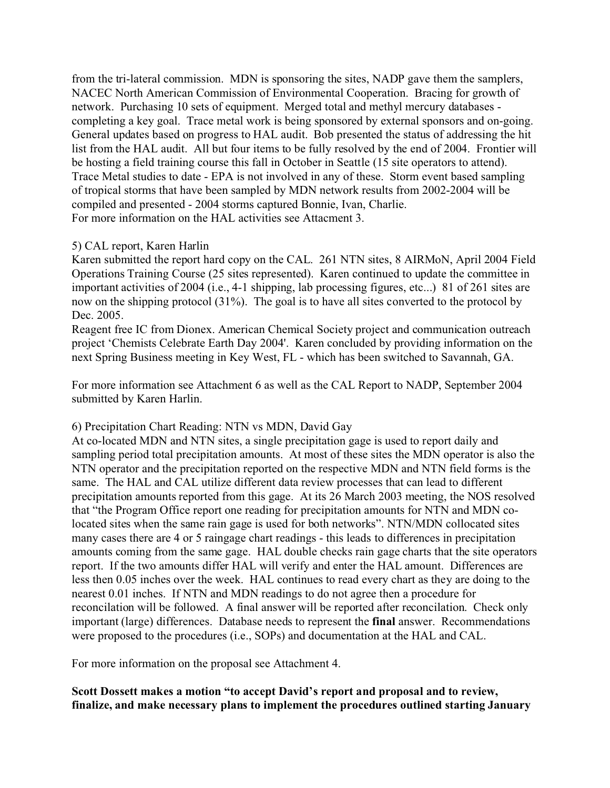from the tri-lateral commission. MDN is sponsoring the sites, NADP gave them the samplers, NACEC North American Commission of Environmental Cooperation. Bracing for growth of network. Purchasing 10 sets of equipment. Merged total and methyl mercury databases completing a key goal. Trace metal work is being sponsored by external sponsors and on-going. General updates based on progress to HAL audit. Bob presented the status of addressing the hit list from the HAL audit. All but four items to be fully resolved by the end of 2004. Frontier will be hosting a field training course this fall in October in Seattle (15 site operators to attend). Trace Metal studies to date - EPA is not involved in any of these. Storm event based sampling of tropical storms that have been sampled by MDN network results from 2002-2004 will be compiled and presented - 2004 storms captured Bonnie, Ivan, Charlie. For more information on the HAL activities see Attacment 3.

## 5) CAL report, Karen Harlin

Karen submitted the report hard copy on the CAL. 261 NTN sites, 8 AIRMoN, April 2004 Field Operations Training Course (25 sites represented). Karen continued to update the committee in important activities of 2004 (i.e., 4-1 shipping, lab processing figures, etc...) 81 of 261 sites are now on the shipping protocol (31%). The goal is to have all sites converted to the protocol by Dec. 2005.

Reagent free IC from Dionex. American Chemical Society project and communication outreach project 'Chemists Celebrate Earth Day 2004'. Karen concluded by providing information on the next Spring Business meeting in Key West, FL - which has been switched to Savannah, GA.

For more information see Attachment 6 as well as the CAL Report to NADP, September 2004 submitted by Karen Harlin.

#### 6) Precipitation Chart Reading: NTN vs MDN, David Gay

At co-located MDN and NTN sites, a single precipitation gage is used to report daily and sampling period total precipitation amounts. At most of these sites the MDN operator is also the NTN operator and the precipitation reported on the respective MDN and NTN field forms is the same. The HAL and CAL utilize different data review processes that can lead to different precipitation amounts reported from this gage. At its 26 March 2003 meeting, the NOS resolved that "the Program Office report one reading for precipitation amounts for NTN and MDN colocated sites when the same rain gage is used for both networks". NTN/MDN collocated sites many cases there are 4 or 5 raingage chart readings - this leads to differences in precipitation amounts coming from the same gage. HAL double checks rain gage charts that the site operators report. If the two amounts differ HAL will verify and enter the HAL amount. Differences are less then 0.05 inches over the week. HAL continues to read every chart as they are doing to the nearest 0.01 inches. If NTN and MDN readings to do not agree then a procedure for reconcilation will be followed. A final answer will be reported after reconcilation. Check only important (large) differences. Database needs to represent the **final** answer. Recommendations were proposed to the procedures (i.e., SOPs) and documentation at the HAL and CAL.

For more information on the proposal see Attachment 4.

## **Scott Dossett makes a motion "to accept David's report and proposal and to review, finalize, and make necessary plans to implement the procedures outlined starting January**